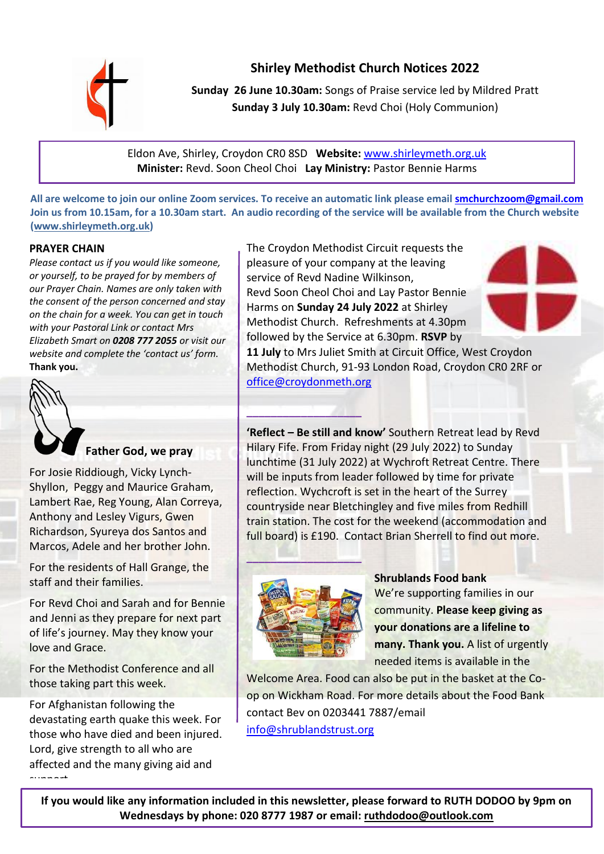

**Shirley Methodist Church Notices 2022**

**Sunday 26 June 10.30am:** Songs of Praise service led by Mildred Pratt **Sunday 3 July 10.30am:** Revd Choi (Holy Communion)

Eldon Ave, Shirley, Croydon CR0 8SD **Website:** [www.shirleymeth.org.uk](http://www.shirleymeth.org.uk/)  **Minister:** Revd. Soon Cheol Choi **Lay Ministry:** Pastor Bennie Harms

**All are welcome to join our online Zoom services. To receive an automatic link please emai[l smchurchzoom@gmail.com](mailto:smchurchzoom@gmail.com)  Join us from 10.15am, for a 10.30am start. An audio recording of the service will be available from the Church website [\(www.shirleymeth.org.uk\)](http://www.shirleymeth.org.uk/)**

**\_\_\_\_\_\_\_\_\_\_\_\_\_\_\_\_\_\_\_**

# **PRAYER CHAIN**

*Please contact us if you would like someone, or yourself, to be prayed for by members of our Prayer Chain. Names are only taken with the consent of the person concerned and stay on the chain for a week. You can get in touch with your Pastoral Link or contact Mrs Elizabeth Smart on 0208 777 2055 or visit our website and complete the 'contact us' form.* **Thank you.**



**Father God, we pray**

For Josie Riddiough, Vicky Lynch-Shyllon, Peggy and Maurice Graham, Lambert Rae, Reg Young, Alan Correya, Anthony and Lesley Vigurs, Gwen Richardson, Syureya dos Santos and Marcos, Adele and her brother John.

For the residents of Hall Grange, the staff and their families.

For Revd Choi and Sarah and for Bennie and Jenni as they prepare for next part of life's journey. May they know your love and Grace.

For the Methodist Conference and all those taking part this week.

For Afghanistan following the devastating earth quake this week. For those who have died and been injured. Lord, give strength to all who are affected and the many giving aid and support.

The Croydon Methodist Circuit requests the pleasure of your company at the leaving service of Revd Nadine Wilkinson, Revd Soon Cheol Choi and Lay Pastor Bennie

Harms on **Sunday 24 July 2022** at Shirley Methodist Church. Refreshments at 4.30pm followed by the Service at 6.30pm. **RSVP** by



**11 July** to Mrs Juliet Smith at Circuit Office, West Croydon Methodist Church, 91-93 London Road, Croydon CR0 2RF or [office@croydonmeth.org](mailto:office@croydonmeth.org)

**'Reflect – Be still and know'** Southern Retreat lead by Revd Hilary Fife. From Friday night (29 July 2022) to Sunday lunchtime (31 July 2022) at Wychroft Retreat Centre. There will be inputs from leader followed by time for private reflection. Wychcroft is set in the heart of the Surrey countryside near Bletchingley and five miles from Redhill train station. The cost for the weekend (accommodation and full board) is £190. Contact Brian Sherrell to find out more.



**Shrublands Food bank** We're supporting families in our community. **Please keep giving as your donations are a lifeline to many. Thank you.** A list of urgently needed items is available in the

Welcome Area. Food can also be put in the basket at the Coop on Wickham Road. For more details about the Food Bank contact Bev on 0203441 7887/email [info@shrublandstrust.org](mailto:info@shrublandstrust.org)

**If you would like any information included in this newsletter, please forward to RUTH DODOO by 9pm on Wednesdays by phone: 020 8777 1987 or email: [ruthdodoo@outlook.com](mailto:ruthdodoo@outlook.com)**